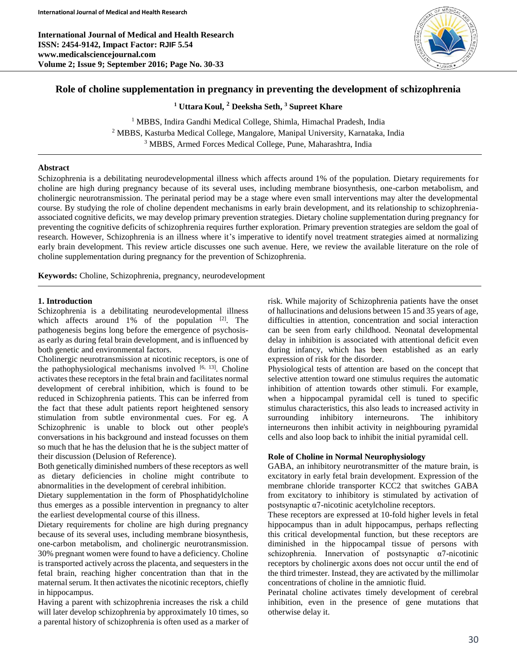**International Journal of Medical and Health Research ISSN: 2454-9142, Impact Factor: RJIF 5.54 www.medicalsciencejournal.com Volume 2; Issue 9; September 2016; Page No. 30-33**



## **Role of choline supplementation in pregnancy in preventing the development of schizophrenia**

**<sup>1</sup> Uttara Koul, <sup>2</sup> Deeksha Seth, <sup>3</sup> Supreet Khare**

<sup>1</sup> MBBS, Indira Gandhi Medical College, Shimla, Himachal Pradesh, India <sup>2</sup> MBBS, Kasturba Medical College, Mangalore, Manipal University, Karnataka, India <sup>3</sup> MBBS, Armed Forces Medical College, Pune, Maharashtra, India

## **Abstract**

Schizophrenia is a debilitating neurodevelopmental illness which affects around 1% of the population. Dietary requirements for choline are high during pregnancy because of its several uses, including membrane biosynthesis, one-carbon metabolism, and cholinergic neurotransmission. The perinatal period may be a stage where even small interventions may alter the developmental course. By studying the role of choline dependent mechanisms in early brain development, and its relationship to schizophreniaassociated cognitive deficits, we may develop primary prevention strategies. Dietary choline supplementation during pregnancy for preventing the cognitive deficits of schizophrenia requires further exploration. Primary prevention strategies are seldom the goal of research. However, Schizophrenia is an illness where it's imperative to identify novel treatment strategies aimed at normalizing early brain development. This review article discusses one such avenue. Here, we review the available literature on the role of choline supplementation during pregnancy for the prevention of Schizophrenia.

**Keywords:** Choline, Schizophrenia, pregnancy, neurodevelopment

### **1. Introduction**

Schizophrenia is a debilitating neurodevelopmental illness which affects around  $1\%$  of the population  $[2]$ . The pathogenesis begins long before the emergence of psychosisas early as during fetal brain development, and is influenced by both genetic and environmental factors.

Cholinergic neurotransmission at nicotinic receptors, is one of the pathophysiological mechanisms involved  $[6, 13]$ . Choline activates these receptors in the fetal brain and facilitates normal development of cerebral inhibition, which is found to be reduced in Schizophrenia patients. This can be inferred from the fact that these adult patients report heightened sensory stimulation from subtle environmental cues. For eg. A Schizophrenic is unable to block out other people's conversations in his background and instead focusses on them so much that he has the delusion that he is the subject matter of their discussion (Delusion of Reference).

Both genetically diminished numbers of these receptors as well as dietary deficiencies in choline might contribute to abnormalities in the development of cerebral inhibition.

Dietary supplementation in the form of Phosphatidylcholine thus emerges as a possible intervention in pregnancy to alter the earliest developmental course of this illness.

Dietary requirements for choline are high during pregnancy because of its several uses, including membrane biosynthesis, one-carbon metabolism, and cholinergic neurotransmission. 30% pregnant women were found to have a deficiency. Choline is transported actively across the placenta, and sequesters in the fetal brain, reaching higher concentration than that in the maternal serum. It then activates the nicotinic receptors, chiefly in hippocampus.

Having a parent with schizophrenia increases the risk a child will later develop schizophrenia by approximately 10 times, so a parental history of schizophrenia is often used as a marker of risk. While majority of Schizophrenia patients have the onset of hallucinations and delusions between 15 and 35 years of age, difficulties in attention, concentration and social interaction can be seen from early childhood. Neonatal developmental delay in inhibition is associated with attentional deficit even during infancy, which has been established as an early expression of risk for the disorder.

Physiological tests of attention are based on the concept that selective attention toward one stimulus requires the automatic inhibition of attention towards other stimuli. For example, when a hippocampal pyramidal cell is tuned to specific stimulus characteristics, this also leads to increased activity in surrounding inhibitory interneurons. The inhibitory interneurons then inhibit activity in neighbouring pyramidal cells and also loop back to inhibit the initial pyramidal cell.

#### **Role of Choline in Normal Neurophysiology**

GABA, an inhibitory neurotransmitter of the mature brain, is excitatory in early fetal brain development. Expression of the membrane chloride transporter KCC2 that switches GABA from excitatory to inhibitory is stimulated by activation of postsynaptic α7-nicotinic acetylcholine receptors.

These receptors are expressed at 10-fold higher levels in fetal hippocampus than in adult hippocampus, perhaps reflecting this critical developmental function, but these receptors are diminished in the hippocampal tissue of persons with schizophrenia. Innervation of postsynaptic α7-nicotinic receptors by cholinergic axons does not occur until the end of the third trimester. Instead, they are activated by the millimolar concentrations of choline in the amniotic fluid.

Perinatal choline activates timely development of cerebral inhibition, even in the presence of gene mutations that otherwise delay it.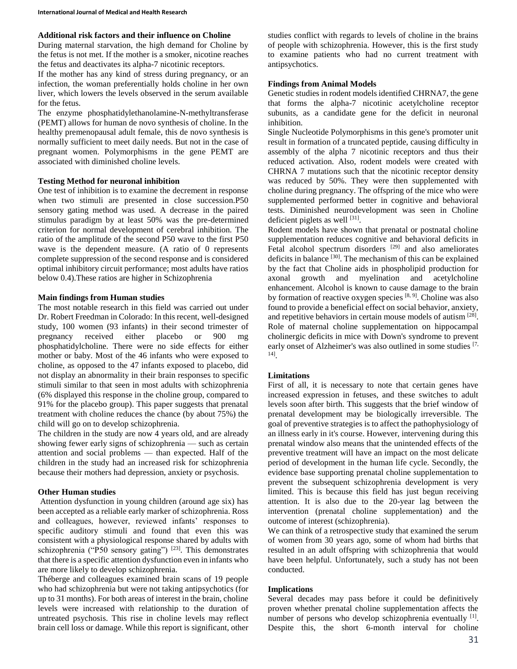## **Additional risk factors and their influence on Choline**

During maternal starvation, the high demand for Choline by the fetus is not met. If the mother is a smoker, nicotine reaches the fetus and deactivates its alpha-7 nicotinic receptors.

If the mother has any kind of stress during pregnancy, or an infection, the woman preferentially holds choline in her own liver, which lowers the levels observed in the serum available for the fetus.

The enzyme phosphatidylethanolamine-N-methyltransferase (PEMT) allows for human de novo synthesis of choline. In the healthy premenopausal adult female, this de novo synthesis is normally sufficient to meet daily needs. But not in the case of pregnant women. Polymorphisms in the gene PEMT are associated with diminished choline levels.

# **Testing Method for neuronal inhibition**

One test of inhibition is to examine the decrement in response when two stimuli are presented in close succession.P50 sensory gating method was used. A decrease in the paired stimulus paradigm by at least 50% was the pre-determined criterion for normal development of cerebral inhibition. The ratio of the amplitude of the second P50 wave to the first P50 wave is the dependent measure. (A ratio of 0 represents complete suppression of the second response and is considered optimal inhibitory circuit performance; most adults have ratios below 0.4).These ratios are higher in Schizophrenia

# **Main findings from Human studies**

The most notable research in this field was carried out under Dr. Robert Freedman in Colorado: In this recent, well-designed study, 100 women (93 infants) in their second trimester of pregnancy received either placebo or 900 mg phosphatidylcholine. There were no side effects for either mother or baby. Most of the 46 infants who were exposed to choline, as opposed to the 47 infants exposed to placebo, did not display an abnormality in their brain responses to specific stimuli similar to that seen in most adults with schizophrenia (6% displayed this response in the choline group, compared to 91% for the placebo group). This paper suggests that prenatal treatment with choline reduces the chance (by about 75%) the child will go on to develop schizophrenia.

The children in the study are now 4 years old, and are already showing fewer early signs of schizophrenia — such as certain attention and social problems — than expected. Half of the children in the study had an increased risk for schizophrenia because their mothers had depression, anxiety or psychosis.

# **Other Human studies**

Attention dysfunction in young children (around age six) has been accepted as a reliable early marker of schizophrenia. Ross and colleagues, however, reviewed infants' responses to specific auditory stimuli and found that even this was consistent with a physiological response shared by adults with schizophrenia ("P50 sensory gating")  $^{[23]}$ . This demonstrates that there is a specific attention dysfunction even in infants who are more likely to develop schizophrenia.

Théberge and colleagues examined brain scans of 19 people who had schizophrenia but were not taking antipsychotics (for up to 31 months). For both areas of interest in the brain, choline levels were increased with relationship to the duration of untreated psychosis. This rise in choline levels may reflect brain cell loss or damage. While this report is significant, other studies conflict with regards to levels of choline in the brains of people with schizophrenia. However, this is the first study to examine patients who had no current treatment with antipsychotics.

## **Findings from Animal Models**

Genetic studies in rodent models identified CHRNA7, the gene that forms the alpha-7 nicotinic acetylcholine receptor subunits, as a candidate gene for the deficit in neuronal inhibition.

Single Nucleotide Polymorphisms in this gene's promoter unit result in formation of a truncated peptide, causing difficulty in assembly of the alpha 7 nicotinic receptors and thus their reduced activation. Also, rodent models were created with CHRNA 7 mutations such that the nicotinic receptor density was reduced by 50%. They were then supplemented with choline during pregnancy. The offspring of the mice who were supplemented performed better in cognitive and behavioral tests. Diminished neurodevelopment was seen in Choline deficient piglets as well  $^{[31]}$ .

Rodent models have shown that prenatal or postnatal choline supplementation reduces cognitive and behavioral deficits in Fetal alcohol spectrum disorders <sup>[29]</sup> and also ameliorates deficits in balance [30]. The mechanism of this can be explained by the fact that Choline aids in phospholipid production for axonal growth and myelination and acetylcholine enhancement. Alcohol is known to cause damage to the brain by formation of reactive oxygen species [8, 9]. Choline was also found to provide a beneficial effect on social behavior, anxiety, and repetitive behaviors in certain mouse models of autism [28]. Role of maternal choline supplementation on hippocampal cholinergic deficits in mice with Down's syndrome to prevent early onset of Alzheimer's was also outlined in some studies [7, 14] .

### **Limitations**

First of all, it is necessary to note that certain genes have increased expression in fetuses, and these switches to adult levels soon after birth. This suggests that the brief window of prenatal development may be biologically irreversible. The goal of preventive strategies is to affect the pathophysiology of an illness early in it's course. However, intervening during this prenatal window also means that the unintended effects of the preventive treatment will have an impact on the most delicate period of development in the human life cycle. Secondly, the evidence base supporting prenatal choline supplementation to prevent the subsequent schizophrenia development is very limited. This is because this field has just begun receiving attention. It is also due to the 20-year lag between the intervention (prenatal choline supplementation) and the outcome of interest (schizophrenia).

We can think of a retrospective study that examined the serum of women from 30 years ago, some of whom had births that resulted in an adult offspring with schizophrenia that would have been helpful. Unfortunately, such a study has not been conducted.

### **Implications**

Several decades may pass before it could be definitively proven whether prenatal choline supplementation affects the number of persons who develop schizophrenia eventually [1]. Despite this, the short 6-month interval for choline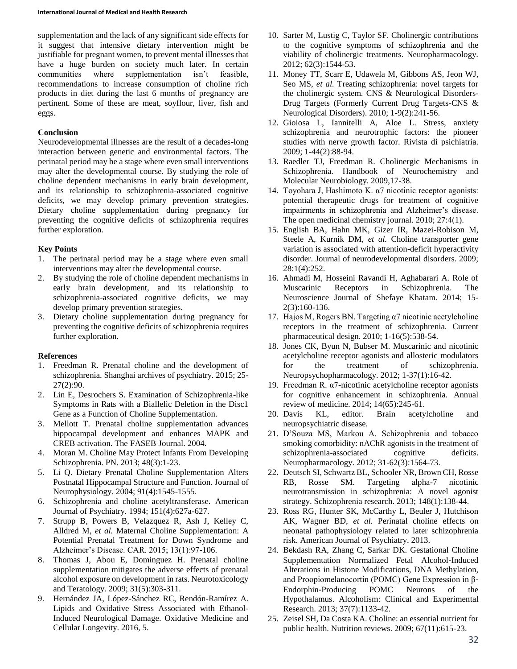supplementation and the lack of any significant side effects for it suggest that intensive dietary intervention might be justifiable for pregnant women, to prevent mental illnesses that have a huge burden on society much later. In certain communities where supplementation isn't feasible, recommendations to increase consumption of choline rich products in diet during the last 6 months of pregnancy are pertinent. Some of these are meat, soyflour, liver, fish and eggs.

#### **Conclusion**

Neurodevelopmental illnesses are the result of a decades-long interaction between genetic and environmental factors. The perinatal period may be a stage where even small interventions may alter the developmental course. By studying the role of choline dependent mechanisms in early brain development, and its relationship to schizophrenia-associated cognitive deficits, we may develop primary prevention strategies. Dietary choline supplementation during pregnancy for preventing the cognitive deficits of schizophrenia requires further exploration.

### **Key Points**

- 1. The perinatal period may be a stage where even small interventions may alter the developmental course.
- 2. By studying the role of choline dependent mechanisms in early brain development, and its relationship to schizophrenia-associated cognitive deficits, we may develop primary prevention strategies.
- 3. Dietary choline supplementation during pregnancy for preventing the cognitive deficits of schizophrenia requires further exploration.

#### **References**

- 1. Freedman R. Prenatal choline and the development of schizophrenia. Shanghai archives of psychiatry. 2015; 25- 27(2):90.
- 2. Lin E, Desrochers S. Examination of Schizophrenia-like Symptoms in Rats with a Biallelic Deletion in the Disc1 Gene as a Function of Choline Supplementation.
- 3. Mellott T. Prenatal choline supplementation advances hippocampal development and enhances MAPK and CREB activation. The FASEB Journal. 2004.
- 4. Moran M. Choline May Protect Infants From Developing Schizophrenia. PN. 2013; 48(3):1-23.
- 5. Li Q. Dietary Prenatal Choline Supplementation Alters Postnatal Hippocampal Structure and Function. Journal of Neurophysiology. 2004; 91(4):1545-1555.
- 6. Schizophrenia and choline acetyltransferase. American Journal of Psychiatry. 1994; 151(4):627a-627.
- 7. Strupp B, Powers B, Velazquez R, Ash J, Kelley C, Alldred M, *et al.* Maternal Choline Supplementation: A Potential Prenatal Treatment for Down Syndrome and Alzheimer's Disease. CAR. 2015; 13(1):97-106.
- 8. Thomas J, Abou E, Dominguez H. Prenatal choline supplementation mitigates the adverse effects of prenatal alcohol exposure on development in rats. Neurotoxicology and Teratology. 2009; 31(5):303-311.
- 9. Hernández JA, López-Sánchez RC, Rendón-Ramírez A. Lipids and Oxidative Stress Associated with Ethanol-Induced Neurological Damage. Oxidative Medicine and Cellular Longevity. 2016, 5.
- 10. Sarter M, Lustig C, Taylor SF. Cholinergic contributions to the cognitive symptoms of schizophrenia and the viability of cholinergic treatments. Neuropharmacology. 2012; 62(3):1544-53.
- 11. Money TT, Scarr E, Udawela M, Gibbons AS, Jeon WJ, Seo MS, *et al.* Treating schizophrenia: novel targets for the cholinergic system. CNS & Neurological Disorders-Drug Targets (Formerly Current Drug Targets-CNS & Neurological Disorders). 2010; 1-9(2):241-56.
- 12. Gioiosa L, Iannitelli A, Aloe L. Stress, anxiety schizophrenia and neurotrophic factors: the pioneer studies with nerve growth factor. Rivista di psichiatria. 2009; 1-44(2):88-94.
- 13. Raedler TJ, Freedman R. Cholinergic Mechanisms in Schizophrenia. Handbook of Neurochemistry and Molecular Neurobiology. 2009,17-38.
- 14. Toyohara J, Hashimoto K. α7 nicotinic receptor agonists: potential therapeutic drugs for treatment of cognitive impairments in schizophrenia and Alzheimer's disease. The open medicinal chemistry journal. 2010; 27:4(1).
- 15. English BA, Hahn MK, Gizer IR, Mazei-Robison M, Steele A, Kurnik DM, *et al.* Choline transporter gene variation is associated with attention-deficit hyperactivity disorder. Journal of neurodevelopmental disorders. 2009; 28:1(4):252.
- 16. Ahmadi M, Hosseini Ravandi H, Aghabarari A. Role of Muscarinic Receptors in Schizophrenia. The Neuroscience Journal of Shefaye Khatam. 2014; 15- 2(3):160-136.
- 17. Hajos M, Rogers BN. Targeting α7 nicotinic acetylcholine receptors in the treatment of schizophrenia. Current pharmaceutical design. 2010; 1-16(5):538-54.
- 18. Jones CK, Byun N, Bubser M. Muscarinic and nicotinic acetylcholine receptor agonists and allosteric modulators for the treatment of schizophrenia. Neuropsychopharmacology. 2012; 1-37(1):16-42.
- 19. Freedman R. α7-nicotinic acetylcholine receptor agonists for cognitive enhancement in schizophrenia. Annual review of medicine. 2014; 14(65):245-61.
- 20. Davis KL, editor. Brain acetylcholine and neuropsychiatric disease.
- 21. D'Souza MS, Markou A. Schizophrenia and tobacco smoking comorbidity: nAChR agonists in the treatment of schizophrenia-associated cognitive deficits. Neuropharmacology. 2012; 31-62(3):1564-73.
- 22. Deutsch SI, Schwartz BL, Schooler NR, Brown CH, Rosse RB, Rosse SM. Targeting alpha-7 nicotinic neurotransmission in schizophrenia: A novel agonist strategy. Schizophrenia research. 2013; 148(1):138-44.
- 23. Ross RG, Hunter SK, McCarthy L, Beuler J, Hutchison AK, Wagner BD, *et al.* Perinatal choline effects on neonatal pathophysiology related to later schizophrenia risk. American Journal of Psychiatry. 2013.
- 24. Bekdash RA, Zhang C, Sarkar DK. Gestational Choline Supplementation Normalized Fetal Alcohol‐Induced Alterations in Histone Modifications, DNA Methylation, and Proopiomelanocortin (POMC) Gene Expression in β‐ Endorphin‐Producing POMC Neurons of the Hypothalamus. Alcoholism: Clinical and Experimental Research. 2013; 37(7):1133-42.
- 25. Zeisel SH, Da Costa KA. Choline: an essential nutrient for public health. Nutrition reviews. 2009; 67(11):615-23.